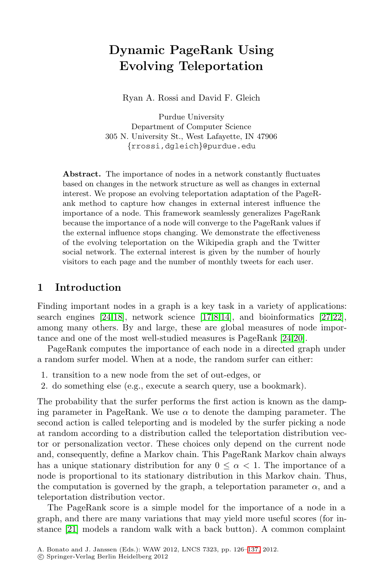# **Dynamic PageRank Using Evolving Teleportation**

Ryan A. Rossi and David F. Gleich

Purdue University Department of Computer Science 305 N. University St., West Lafayette, IN 47906 {rrossi,dgleich}@purdue.edu

**Abstract.** The importance of nodes in a network constantly fluctuates based on changes in the network structure as well as changes in external interest. We propose an evolving teleportation adaptation of the PageRank method to capture how changes in external interest influence the importance of a node. This framework seamlessly generalizes PageRank because the importance of a node will converge to the PageRank values if the external influ[ence](#page-11-0) [s](#page-10-0)[top](#page-11-1)s changing. We demonst[rate](#page-11-2) [th](#page-11-3)e effectiveness of the evolving teleportation on the Wikipedia graph and the Twitter social network. The external interest is [giv](#page-11-4)[en](#page-11-5) by the number of hourly visitors to each page and the number of monthly tweets for each user.

## **1 Introduction**

Finding important nodes in a graph is a key task in a variety of applications: search engines  $[24,18]$ , network science  $[17,8,14]$ , and bioinformatics  $[27,22]$ , among many others. By and large, these are global measures of node importance and one of the most well-studied measures is PageRank [24,20].

PageRank computes the importance of each node in a directed graph under a random surfer model. When at a node, the random surfer can either:

- 1. transition to a new node from the set of out-edges, or
- 2. do something else (e.g., execute a search query, use a bookmark).

The probability that the surfer performs the first action is known as the damping parameter in PageRank. We use  $\alpha$  to denote the damping parameter. The second action is called teleporting and is modeled by the surfer picking a node at random according to a distribution called the teleportation distribution vector or personalization vector. These choices only depend on the current node and, consequently, define a Markov chain. This PageRank Markov chain always has a unique stationary distributi[on fo](#page-11-6)r any  $0 \leq \alpha < 1$ . The importance of a node is proportional to its stationary distribution in this Markov chain. Thus, the computation is governed by the graph, a teleportation parameter  $\alpha$ , and a teleportation distribution vector.

The PageRank score is a simple model for the importance of a node in a graph, and there are many variations that may yield more useful scores (for instance [21] models a random walk with a back button). A common complaint

A. Bonato and J. Janssen (Eds.): WAW 2012, LNCS 7323, pp. 126–137, 2012.

<sup>-</sup>c Springer-Verlag Berlin Heidelberg 2012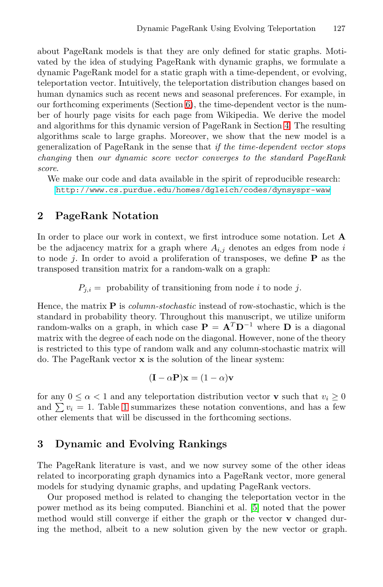about PageRank models is that they are o[nly](#page-3-0) defined for static graphs. Motivated by the idea of studying PageRank with dynamic graphs, we formulate a dynamic PageRank model for a static graph with a time-dependent, or evolving, teleportation vector. Intuitively, the teleportation distribution changes based on human dynamics such as recent news and seasonal preferences. For example, in [our forthcoming experiments \(Section 6\), the time-depend](http://www.cs.purdue.edu/homes/dgleich/codes/dynsyspr-waw)ent vector is the number of hourly page visits for each page from Wikipedia. We derive the model and algorithms for this dynamic version of PageRank in Section 4. The resulting algorithms scale to large graphs. Moreover, we show that the new model is a generalization of PageRank in the sense that *if the time-dependent vector stops changing* then *our dynamic score vector converges to the standard PageRank score*.

We make our code and data available in the spirit of reproducible research: http://www.cs.purdue.edu/homes/dgleich/codes/dynsyspr-waw

## **2 PageRank Notation**

In order to place our work in context, we first introduce some notation. Let **A** be the adjacency matrix for a graph where  $A_{i,j}$  denotes an edges from node i to node j. In order to avoid a proliferation of transposes, we define **P** as the transposed transition matrix for a random-walk on a graph:

 $P_{i,i}$  = probability of transitioning from node *i* to node *j*.

Hence, the matrix **P** is *column-stochastic* instead of row-stochastic, which is the standard in probability theory. Throughout this manuscript, we utilize uniform ra[nd](#page-2-0)om-walks on a graph, in which case  $\mathbf{P} = \mathbf{A}^T \mathbf{D}^{-1}$  where **D** is a diagonal matrix with the degree of each node on the diagonal. However, none of the theory is restricted to this type of random walk and any column-stochastic matrix will do. The PageRank vector **x** is the solution of the linear system:

$$
(\mathbf{I} - \alpha \mathbf{P})\mathbf{x} = (1 - \alpha)\mathbf{v}
$$

for any  $0 \le \alpha < 1$  and any teleportation distribution vector **v** such that  $v_i \ge 0$ and  $\sum v_i = 1$ . Table 1 summarizes these notation conventions, and has a few other elements that will be discusse[d](#page-10-1) [i](#page-10-1)n the forthcoming sections.

## **3 Dynamic and Evolving Rankings**

The PageRank literature is vast, and we now survey some of the other ideas related to incorporating graph dynamics into a PageRank vector, more general models for studying dynamic graphs, and updating PageRank vectors.

Our proposed method is related to changing the teleportation vector in the power method as its being computed. Bianchini et al. [5] noted that the power method would still converge if either the graph or the vector **v** changed during the method, albeit to a new solution given by the new vector or graph.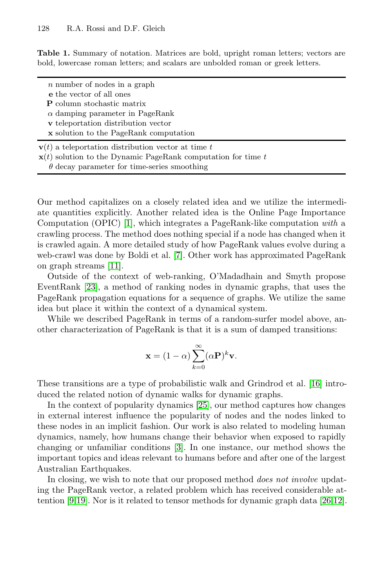<span id="page-2-0"></span>**Table 1.** Summary of notation. Matrices are bold, upright roman letters; vectors are bold, lowercase roman letters; and scalars are unbolded roman or greek letters.

| $n$ number of nodes in a graph |  |  |  |  |  |  |  |  |
|--------------------------------|--|--|--|--|--|--|--|--|
|--------------------------------|--|--|--|--|--|--|--|--|

**e** the vector of all ones

**P** column stochastic matrix

 $\alpha$  damping parameter in PageRank

**v** teleportation distribution vector

**x** solution to the PageRank computation

 $\mathbf{v}(t)$  $\mathbf{v}(t)$  [a](#page-10-2) teleportation distribution vector at time t

 $\mathbf{x}(t)$  solution to the Dynamic PageRank computation for time t

Our method capitalizes on a closely related idea and we utilize the intermediate quantities explicitly. Another related idea is the Online Page Importance Computation (OPIC) [1], which integrates a PageRank-like computation *with* a crawling process. The method does nothing special if a node has changed when it is crawled again. A more detailed study of how PageRank values evolve during a web-crawl was done by Boldi et al. [7]. Other work has approximated PageRank on graph streams [11].

Outside of the context of web-ranking, O'Madadhain and Smyth propose EventRank [23], a method of ranking nodes in dynamic graphs, that uses the PageRank propagation equations for a sequence of [gra](#page-11-7)phs. We utilize the same idea but place it within the context of a dynamical system.

While we described [Pa](#page-11-8)geRank in terms of a random-surfer model above, another characterization of PageRank is that it is a sum of damped transitions:

$$
\mathbf{x} = (1 - \alpha) \sum_{k=0}^{\infty} (\alpha \mathbf{P})^k \mathbf{v}.
$$

These transitions are a type of probabilistic walk and Grindrod et al. [16] introduced the related notion of dynamic walks for dynamic graphs.

In the context of popularity dynamics [25], our method captures how changes in external interest influence the popularity of nodes [an](#page-11-9)[d t](#page-11-10)he nodes linked to these nodes in an implicit fashion. Our work is also related to modeling human dynamics, namely, how humans change their behavior when exposed to rapidly changing or unfamiliar conditions [3]. In one instance, our method shows the important topics and ideas relevant to humans before and after one of the largest Australian Earthquakes.

In closing, we wish to note that our proposed method *does not involve* updating the PageRank vector, a related problem which has received considerable attention [9,19]. Nor is it related to tensor methods for dynamic graph data [26,12].

 $\theta$  $\theta$  $\theta$  decay parameter for time-series smoothing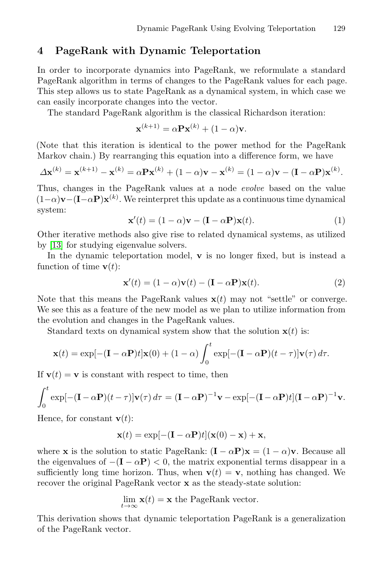## <span id="page-3-1"></span><span id="page-3-0"></span>**4 PageRank with Dynamic Teleportation**

In order to incorporate dynamics into PageRank, we reformulate a standard PageRank algorithm in terms of changes to the PageRank values for each page. This step allows us to state PageRank as a dynamical system, in which case we can easily incorporate changes into the vector.

The standard PageRank algorithm is the classical Richardson iteration:

<span id="page-3-2"></span>
$$
\mathbf{x}^{(k+1)} = \alpha \mathbf{P} \mathbf{x}^{(k)} + (1 - \alpha) \mathbf{v}.
$$

(Note that this iteration is identical to the power method for the PageRank Markov chain.) By rearranging this equation into a difference form, we have

$$
\Delta \mathbf{x}^{(k)} = \mathbf{x}^{(k+1)} - \mathbf{x}^{(k)} = \alpha \mathbf{P} \mathbf{x}^{(k)} + (1 - \alpha)\mathbf{v} - \mathbf{x}^{(k)} = (1 - \alpha)\mathbf{v} - (\mathbf{I} - \alpha\mathbf{P})\mathbf{x}^{(k)}.
$$

Thus, changes in the PageRank values at a node *evolve* based on the value  $(1-\alpha)\mathbf{v}-(\mathbf{I}-\alpha\mathbf{P})\mathbf{x}^{(k)}$ . We reinterpret this update as a continuous time dynamical system:

$$
\mathbf{x}'(t) = (1 - \alpha)\mathbf{v} - (\mathbf{I} - \alpha \mathbf{P})\mathbf{x}(t).
$$
 (1)

Other iterative methods also give rise to related dynamical systems, as utilized by [13] for studying eigenvalue solvers.

In the dynamic teleportation model, **v** is no longer fixed, but is instead a function of time  $\mathbf{v}(t)$ :

$$
\mathbf{x}'(t) = (1 - \alpha)\mathbf{v}(t) - (\mathbf{I} - \alpha\mathbf{P})\mathbf{x}(t).
$$
 (2)

Note that this means the PageRank values  $\mathbf{x}(t)$  may not "settle" or converge. We see this as a feature of the new model as we plan to utilize information from the evolution and changes in the PageRank values.

Standard texts on dynamical system show that the solution  $\mathbf{x}(t)$  is:

$$
\mathbf{x}(t) = \exp[-(\mathbf{I} - \alpha \mathbf{P})t]\mathbf{x}(0) + (1 - \alpha)\int_0^t \exp[-(\mathbf{I} - \alpha \mathbf{P})(t - \tau)]\mathbf{v}(\tau) d\tau.
$$

If  $\mathbf{v}(t) = \mathbf{v}$  is constant with respect to time, then

$$
\int_0^t \exp[-(\mathbf{I} - \alpha \mathbf{P})(t - \tau)] \mathbf{v}(\tau) d\tau = (\mathbf{I} - \alpha \mathbf{P})^{-1} \mathbf{v} - \exp[-(\mathbf{I} - \alpha \mathbf{P})t](\mathbf{I} - \alpha \mathbf{P})^{-1} \mathbf{v}.
$$

Hence, for constant  $\mathbf{v}(t)$ :

$$
\mathbf{x}(t) = \exp[-(\mathbf{I} - \alpha \mathbf{P})t](\mathbf{x}(0) - \mathbf{x}) + \mathbf{x},
$$

where **x** is the solution to static PageRank:  $(I - \alpha P)x = (1 - \alpha)v$ . Because all the eigenvalues of  $-(I - \alpha P) < 0$ , the matrix exponential terms disappear in a sufficiently long time horizon. Thus, when  $\mathbf{v}(t) = \mathbf{v}$ , nothing has changed. We recover the original PageRank vector **x** as the steady-state solution:

$$
\lim_{t \to \infty} \mathbf{x}(t) = \mathbf{x}
$$
 the PageRank vector.

This derivation shows that dynamic teleportation PageRank is a generalization of the PageRank vector.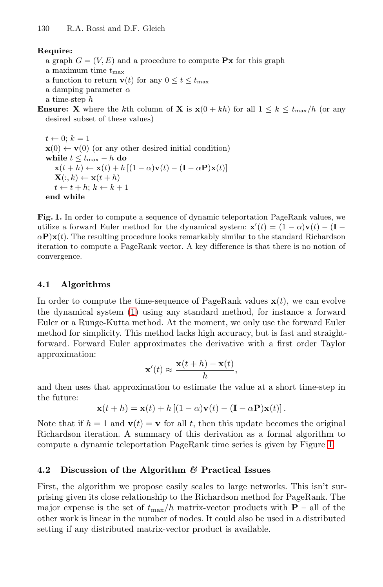130 R.A. Rossi and D.F. Gleich

#### **Require:**

a graph  $G = (V, E)$  and a procedure to compute **Px** for this graph

- a maximum time  $t_{\text{max}}$
- a function to return **v**(*t*) for any  $0 \le t \le t_{\text{max}}$
- a damping parameter  $\alpha$
- a time-step h

**Ensure: X** where the kth column of **X** is  $\mathbf{x}(0 + kh)$  for all  $1 \leq k \leq t_{\text{max}}/h$  (or any desired subset of these values)

 $t \leftarrow 0; k = 1$  $\mathbf{x}(0) \leftarrow \mathbf{v}(0)$  (or any other desired initial condition) **while**  $t \leq t_{\text{max}} - h$  **do**  $\mathbf{x}(t+h) \leftarrow \mathbf{x}(t) + h[(1-\alpha)\mathbf{v}(t) - (\mathbf{I} - \alpha \mathbf{P})\mathbf{x}(t)]$  $\mathbf{X}(:, k) \leftarrow \mathbf{x}(t+h)$  $t \leftarrow t + h; k \leftarrow k + 1$ **end while**

**Fig. 1.** In order to compute a sequence of dynamic teleportation PageRank values, we utiliz[e a](#page-3-1) forward Euler method for the dynamical system:  $\mathbf{x}'(t) = (1 - \alpha)\mathbf{v}(t) - (\mathbf{I} - \mathbf{v})(t)$  $\alpha$ **P**)**x**(t). The resulting procedure looks remarkably similar to the standard Richardson iteration to compute a PageRank vector. A key difference is that there is no notion of convergence.

#### **4.1 Algorithms**

In order to compute the time-sequence of PageRank values  $\mathbf{x}(t)$ , we can evolve the dynamical system (1) using any standard method, for instance a forward Euler or a Runge-Kutta method. At the moment, we only use the forward Euler method for simplicity. This method lacks high accuracy, but is fast and straightforward. Forward Euler approximates the derivative with a first order Taylor approximation:

$$
\mathbf{x}'(t) \approx \frac{\mathbf{x}(t+h) - \mathbf{x}(t)}{h},
$$

and then uses that approximation to estimate the value at a short time-step in the future:

 $\mathbf{x}(t+h) = \mathbf{x}(t) + h[(1-\alpha)\mathbf{v}(t) - (\mathbf{I} - \alpha\mathbf{P})\mathbf{x}(t)].$ 

Note that if  $h = 1$  and  $\mathbf{v}(t) = \mathbf{v}$  for all t, then this update becomes the original Richardson iteration. A summary of this derivation as a formal algorithm to compute a dynamic teleportation PageRank time series is given by Figure 1.

### **4.2 Discussion of the Algorithm** *&* **Practical Issues**

First, the algorithm we propose easily scales to large networks. This isn't surprising given its close relationship to the Richardson method for PageRank. The major expense is the set of  $t_{\text{max}}/h$  matrix-vector products with **P** – all of the other work is linear in the number of nodes. It could also be used in a distributed setting if any distributed matrix-vector product is available.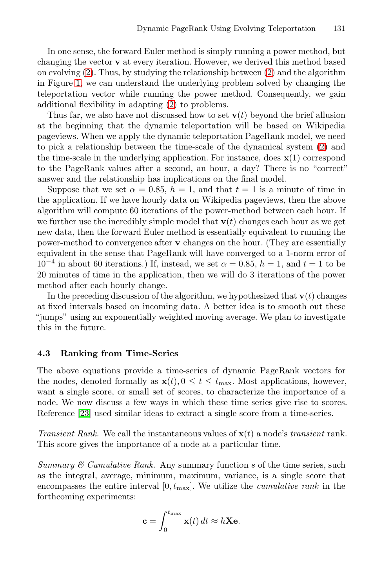In one sense, the forward Euler method is simply running a power method, but changing the vector **v** at every iteration. However, we [de](#page-3-2)rived this method based on evolving  $(2)$ . Thus, by studying the relationship between  $(2)$  and the algorithm in Figure 1, we can understand the underlying problem solved by changing the teleportation vector while running the power method. Consequently, we gain additional flexibility in adapting (2) to problems.

Thus far, we also have not discussed how to set  $\mathbf{v}(t)$  beyond the brief allusion at the beginning that the dynamic teleportation will be based on Wikipedia pageviews. When we apply the dynamic teleportation PageRank model, we need to pick a relationship between the time-scale of the dynamical system (2) and the time-scale in the underlying application. For instance, does  $\mathbf{x}(1)$  correspond to the PageRank values after a second, an hour, a day? There is no "correct" answer and the relationship has implications on the final model.

Suppose that we set  $\alpha = 0.85$ ,  $h = 1$ , and that  $t = 1$  is a minute of time in the application. If we have hourly data on Wikipedia pageviews, then the above algorithm will compute 60 iterations of the power-method between each hour. If we further use the incredibly simple model that  $\mathbf{v}(t)$  changes each hour as we get new data, then the forward Euler method is essentially equivalent to running the power-method to convergence after **v** changes on the hour. (They are essentially equivalent in the sense that PageRank will have converged to a 1-norm error of  $10^{-4}$  in about 60 iterations.) If, instead, we set  $\alpha = 0.85$ ,  $h = 1$ , and  $t = 1$  to be 20 minutes of time in the application, then we will do 3 iterations of the power method after each hourly change.

In the preceding discussion of the algorithm, we hypothesized that  $\mathbf{v}(t)$  changes at fixed intervals based on incoming data. A better idea is to smooth out these "jumps" using an exponentially weighted moving average. We plan to investigate this in the future.

#### **4.3 Ranking from Time-Series**

The above equations provide a time-series of dynamic PageRank vectors for the nodes, denoted formally as  $\mathbf{x}(t)$ ,  $0 \le t \le t_{\text{max}}$ . Most applications, however, want a single score, or small set of scores, to characterize the importance of a node. We now discuss a few ways in which these time series give rise to scores. Reference [23] used similar ideas to extract a single score from a time-series.

*Transient Rank.* We call the instantaneous values of **x**(t) a node's *transient* rank. This score gives the importance of a node at a particular time.

*Summary & Cumulative Rank.* Any summary function s of the time series, such as the integral, average, minimum, maximum, variance, is a single score that encompasses the entire interval  $[0, t_{\text{max}}]$ . We utilize the *cumulative rank* in the forthcoming experiments:

$$
\mathbf{c} = \int_0^{t_{\text{max}}} \mathbf{x}(t) dt \approx h \mathbf{X} \mathbf{e}.
$$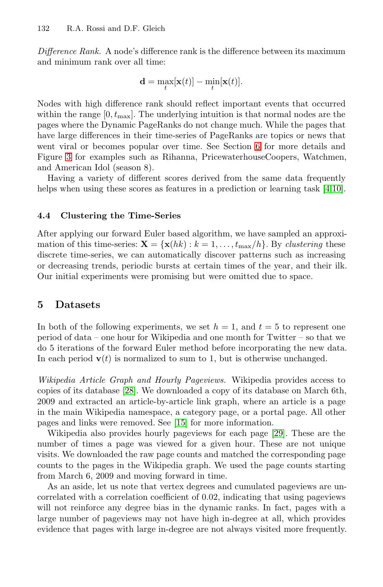#### 132 R.A. Rossi and D.F. Gleich

*Difference Rank.* A node's difference rank is the difference between its maximum and minimum rank over all time:

$$
\mathbf{d} = \max_t [\mathbf{x}(t)] - \min_t [\mathbf{x}(t)].
$$

Nodes with high difference rank should reflect import[an](#page-10-4)[t e](#page-11-11)vents that occurred within the range  $[0, t_{\text{max}}]$ . The underlying intuition is that normal nodes are the pages where the Dynamic PageRanks do not change much. While the pages that have large differences in their time-series of PageRanks are topics or news that went viral or becomes popular over time. See Section 6 for more details and Figure 3 for examples such as Rihanna, PricewaterhouseCoopers, Watchmen, and American Idol (season 8).

Having a variety of different scores derived from the same data frequently helps when using these scores as features in a prediction or learning task [4,10].

#### **4.4 Clustering the Time-Series**

After applying our forward Euler based algorithm, we have sampled an approximation of this time-series:  $\mathbf{X} = \{ \mathbf{x}(hk) : k = 1, \ldots, t_{\text{max}}/h \}$ . By *clustering* these discrete time-series, we can automatically discover patterns such as increasing or decreasing trends, periodic bursts at certain times of the year, and their ilk. Our initial experiments were promising but were omitted due to space.

## **5 [D](#page-11-12)atasets**

In both of the following experiments, we set  $h = 1$ , and  $t = 5$  to represent one period of data – [one](#page-11-13) hour for Wikipedia and one month for Twitter – so that we do 5 iterations of the forward Euler meth[od](#page-11-14) before incorporating the new data. In each period  $\mathbf{v}(t)$  is normalized to sum to 1, but is otherwise unchanged.

*Wikipedia Article Graph and Hourly Pageviews.* Wikipedia provides access to copies of its database [28]. We downloaded a copy of its database on March 6th, 2009 and extracted an article-by-article link graph, where an article is a page in the main Wikipedia namespace, a category page, or a portal page. All other pages and links were removed. See [15] for more information.

Wikipedia also provides hourly pageviews for each page [29]. These are the number of times a page was viewed for a given hour. These are not unique visits. We downloaded the raw page counts and matched the corresponding page counts to the pages in the Wikipedia graph. We used the page counts starting from March 6, 2009 and moving forward in time.

As an aside, let us note that vertex degrees and cumulated pageviews are uncorrelated with a correlation coefficient of 0.02, indicating that using pageviews will not reinforce any degree bias in the dynamic ranks. In fact, pages with a large number of pageviews may not have high in-degree at all, which provides evidence that pages with large in-degree are not always visited more frequently.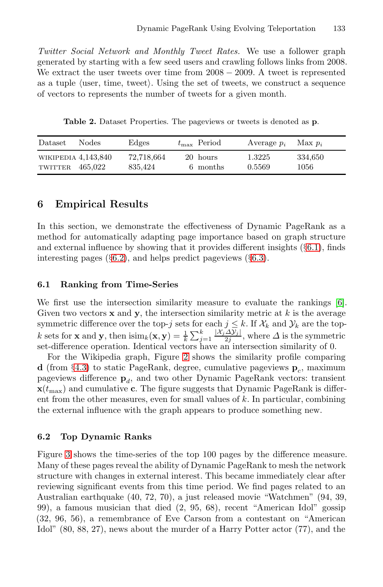*Twitter Social Network and Monthly Tweet Rates.* We use a follower graph generated by starting with a few seed users and crawling follows links from 2008. We extract the user tweets over time from  $2008 - 2009$ . A tweet is represented as a tuple (user, time, tweet). Using the set of tweets, we construct a sequence of vectors to represents the number of tweets for a given month.

**Table 2.** Dataset Properties. The pageviews or tweets is denoted as **p**.

<span id="page-7-0"></span>

| Dataset                        | <b>Nodes</b> | Edges                 | $t_{\rm max}$ Period | Average $p_i$    | Max $p_i$       |
|--------------------------------|--------------|-----------------------|----------------------|------------------|-----------------|
| WIKIPEDIA 4,143,840<br>TWITTER | 465.022      | 72,718,664<br>835.424 | 20 hours<br>6 months | 1.3225<br>0.5569 | 334,650<br>1056 |

## **6 Empirical Results**

In this section, we demonstrate the effectiveness of Dyn[am](#page-10-5)ic PageRank as a method for automatically adapting page importance based on graph structure and external influence by showing that it provides different insights (§6.1), finds interesting pages (§6.2), and helps predict pageviews (§6.3).

#### **6.1 Ranking from Time-Series**

We first use the intersection similarity measure to evaluate the rankings [6]. Given two vectors  $x$  and  $y$ , the intersection similarity metric at  $k$  is the average symmetric difference over the top-j sets for each  $j \leq k$ . If  $\mathcal{X}_k$  and  $\mathcal{Y}_k$  are the topk sets for **x** and **y**, then  $\text{isim}_k(\mathbf{x}, \mathbf{y}) = \frac{1}{k} \sum_{j=1}^k \frac{|X_j \Delta \overline{y}_j|}{2j}$ , where  $\Delta$  is the symmetric set-difference operation. Identical vectors have an intersection similarity of 0.

For the Wikipedia graph, Figure 2 shows the similarity profile comparing **d** (from §4.3) to static PageRank, degree, cumulative pageviews  $\mathbf{p}_c$ , maximum pageviews difference  $\mathbf{p}_d$ , and two other Dynamic PageRank vectors: transient  $\mathbf{x}(t_{\text{max}})$  and cumulative **c**. The figure suggests that Dynamic PageRank is different from the other measures, even for small values of k. In particular, combining the external influence with the graph appears to produce something new.

#### **6.2 Top Dynamic Ranks**

Figure 3 shows the time-series of the top 100 pages by the difference measure. Many of these pages reveal the ability of Dynamic PageRank to mesh the network structure with changes in external interest. This became immediately clear after reviewing significant events from this time period. We find pages related to an Australian earthquake (40, 72, 70), a just released movie "Watchmen" (94, 39, 99), a famous musician that died (2, 95, 68), recent "American Idol" gossip (32, 96, 56), a remembrance of Eve Carson from a contestant on "American Idol" (80, 88, 27), news about the murder of a Harry Potter actor (77), and the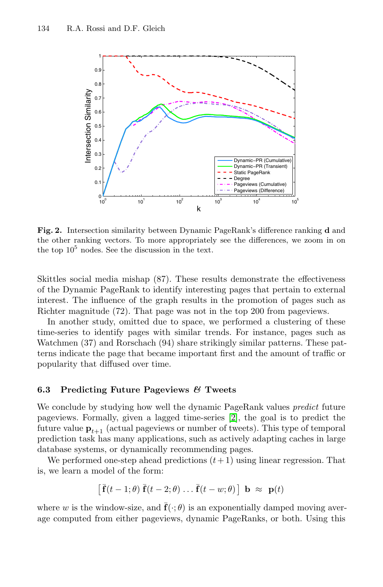

**Fig. 2.** Intersection similarity between Dynamic PageRank's difference ranking **d** and the other ranking vectors. To more appropriately see the differences, we zoom in on the top  $10^5$  nodes. See the discussion in the text.

Skittles social media mishap (87). These results demonstrate the effectiveness of the Dynamic PageRank to identify interesting pages that pertain to external interest. The influence of the graph results in the promotion of pages such as Richter magnitude (72). That page was not in the top 200 from pageviews.

In another study, omitted due to space, we performed a clustering of these time-series to identify pages [wit](#page-10-6)h similar trends. For instance, pages such as Watchmen (37) and Rorschach (94) share strikingly similar patterns. These patterns indicate the page that became important first and the amount of traffic or popularity that diffused over time.

## **6.3 Predicting Future Pageviews** *&* **Tweets**

We conclude by studying how well the dynamic PageRank values *predict* future pageviews. Formally, given a lagged time-series [2], the goal is to predict the future value  $\mathbf{p}_{t+1}$  (actual pageviews or number of tweets). This type of temporal prediction task has many applications, such as actively adapting caches in large database systems, or dynamically recommending pages.

We performed one-step ahead predictions  $(t+1)$  using linear regression. That is, we learn a model of the form:

$$
\left[ \bar{\mathbf{f}}(t-1; \theta) \bar{\mathbf{f}}(t-2; \theta) \dots \bar{\mathbf{f}}(t-w; \theta) \right] \mathbf{b} \approx \mathbf{p}(t)
$$

where w is the window-size, and  $\mathbf{\bar{f}}(\cdot;\theta)$  is an exponentially damped moving average computed from either pageviews, dynamic PageRanks, or both. Using this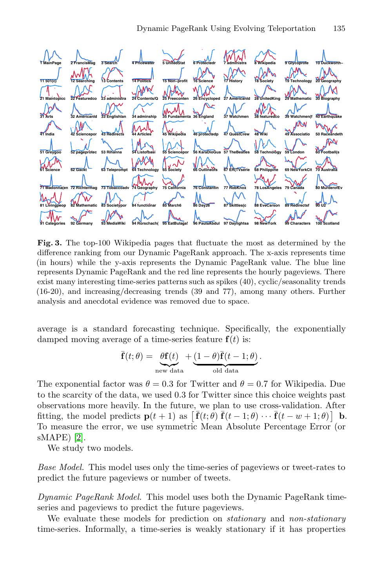

**Fig. 3.** The top-100 Wikipedia pages that fluctuate the most as determined by the difference ranking from our Dynamic PageRank approach. The x-axis represents time (in hours) while the y-axis represents the Dynamic PageRank value. The blue line represents Dynamic PageRank and the red line represents the hourly pageviews. There exist many interesting time-series patterns such as spikes (40), cyclic/seasonality trends (16-20), and increasing/decreasing trends (39 and 77), among many others. Further analysis and anecdotal evidence was removed due to space.

average is a standard forecasting technique. Specifically, the exponentially damped moving average of a time-series feature  $f(t)$  is:

$$
\bar{\mathbf{f}}(t; \theta) = \underbrace{\theta \mathbf{f}(t)}_{\text{new data}} + \underbrace{(1 - \theta)\bar{\mathbf{f}}(t - 1; \theta)}_{\text{old data}}.
$$

The exponential factor was  $\theta = 0.3$  for Twitter and  $\theta = 0.7$  for Wikipedia. Due to the scarcity of the data, we used 0.3 for Twitter since this choice weights past observations more heavily. In the future, we plan to use cross-validation. After fitting, the model predicts  $\mathbf{p}(t+1)$  as  $\left[ \bar{\mathbf{f}}(t;\theta) \bar{\mathbf{f}}(t-1;\theta) \cdots \bar{\mathbf{f}}(t-w+1;\theta) \right]$  **b**. To measure the error, we use symmetric Mean Absolute Percentage Error (or sMAPE) [2].

We study two models.

*Base Model.* This model uses only the time-series of pageviews or tweet-rates to predict the future pageviews or number of tweets.

*Dynamic PageRank Model.* This model uses both the Dynamic PageRank timeseries and pageviews to predict the future pageviews.

We evaluate these models for prediction on *stationary* and *non-stationary* time-series. Informally, a time-series is weakly stationary if it has properties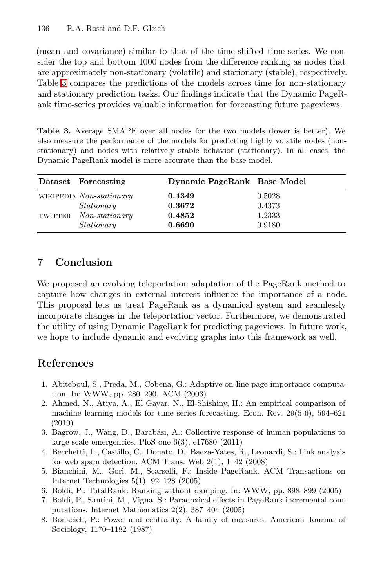#### 136 R.A. Rossi and D.F. Gleich

(mean and covariance) similar to that of the time-shifted time-series. We consider the top and bottom 1000 nodes from the difference ranking as nodes that are approximately non-stationary (volatile) and stationary (stable), respectively. Table 3 compares the predictions of the models across time for non-stationary and stationary prediction tasks. Our findings indicate that the Dynamic PageRank time-series provides valuable information for forecasting future pageviews.

**Table 3.** Average SMAPE over all nodes for the two models (lower is better). We also measure the performance of the models for predicting highly volatile nodes (nonstationary) and nodes with relatively stable behavior (stationary). In all cases, the Dynamic PageRank model is more accurate than the base model.

<span id="page-10-2"></span>

|         | Dataset Forecasting      | Dynamic PageRank Base Model |        |
|---------|--------------------------|-----------------------------|--------|
|         | WIKIPEDIA Non-stationary | 0.4349                      | 0.5028 |
|         | Stationary               | 0.3672                      | 0.4373 |
| TWITTER | $Non-stationary$         | 0.4852                      | 1.2333 |
|         | Stationary               | 0.6690                      | 0.9180 |

## <span id="page-10-6"></span>**7 Conclusion**

<span id="page-10-5"></span><span id="page-10-4"></span><span id="page-10-1"></span>We proposed an evolving teleportation adaptation of the PageRank method to capture how changes in external interest influence the importance of a node. This proposal lets us treat PageRank as a dynamical system and seamlessly incorporate changes in the teleportation vector. Furthermore, we demonstrated the utility of using Dynamic PageRank for predicting pageviews. In future work, we hope to include dynamic and evolving graphs into this framework as well.

## <span id="page-10-3"></span><span id="page-10-0"></span>**References**

- 1. Abiteboul, S., Preda, M., Cobena, G.: Adaptive on-line page importance computation. In: WWW, pp. 280–290. ACM (2003)
- 2. Ahmed, N., Atiya, A., El Gayar, N., El-Shishiny, H.: An empirical comparison of machine learning models for time series forecasting. Econ. Rev. 29(5-6), 594–621 (2010)
- 3. Bagrow, J., Wang, D., Barabási, A.: Collective response of human populations to large-scale emergencies. PloS one 6(3), e17680 (2011)
- 4. Becchetti, L., Castillo, C., Donato, D., Baeza-Yates, R., Leonardi, S.: Link analysis for web spam detection. ACM Trans. Web  $2(1)$ ,  $1-42$   $(2008)$
- 5. Bianchini, M., Gori, M., Scarselli, F.: Inside PageRank. ACM Transactions on Internet Technologies 5(1), 92–128 (2005)
- 6. Boldi, P.: TotalRank: Ranking without damping. In: WWW, pp. 898–899 (2005)
- 7. Boldi, P., Santini, M., Vigna, S.: Paradoxical effects in PageRank incremental computations. Internet Mathematics 2(2), 387–404 (2005)
- 8. Bonacich, P.: Power and centrality: A family of measures. American Journal of Sociology, 1170–1182 (1987)